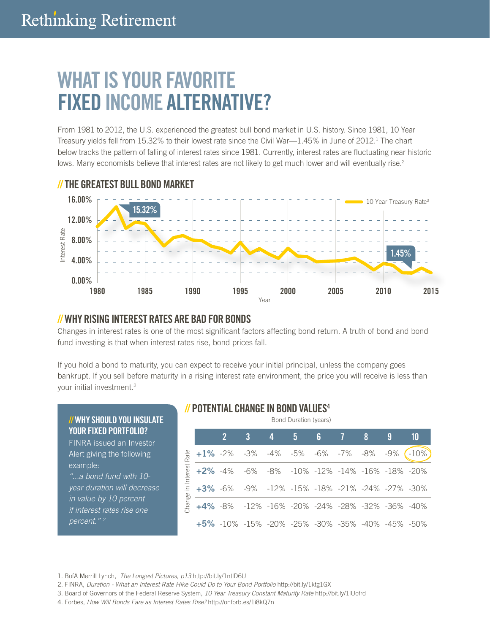# WHAT IS YOUR FAVORITE FIXED INCOME ALTERNATIVE?

From 1981 to 2012, the U.S. experienced the greatest bull bond market in U.S. history. Since 1981, 10 Year Treasury yields fell from 15.32% to their lowest rate since the Civil War—1.45% in June of 2012.<sup>1</sup> The chart below tracks the pattern of falling of interest rates since 1981. Currently, interest rates are fluctuating near historic lows. Many economists believe that interest rates are not likely to get much lower and will eventually rise.<sup>2</sup>



## // THE GREATEST BULL BOND MARKET

 $\mathcal{U}$  W **YOU** FINR Alert exar *"...a bond fund with 10 year duration will decrease in va if int*  $perc$ 

# // WHY RISING INTEREST RATES ARE BAD FOR BONDS

Changes in interest rates is one of the most significant factors affecting bond return. A truth of bond and bond fund investing is that when interest rates rise, bond prices fall.

If you hold a bond to maturity, you can expect to receive your initial principal, unless the company goes bankrupt. If you sell before maturity in a rising interest rate environment, the price you will receive is less than your initial investment.2

| IY SHOULD YOU INSULATE<br><b>R FIXED PORTFOLIO?</b><br>RA issued an Investor<br>giving the following<br>nple:<br>bond fund with 10-<br>duration will decrease<br>llue by 10 percent<br>erest rates rise one<br>ent." $^2$ | Bond Duration (years)                 |             |  |     |   |                     |   |  |                                                  |     |        |
|---------------------------------------------------------------------------------------------------------------------------------------------------------------------------------------------------------------------------|---------------------------------------|-------------|--|-----|---|---------------------|---|--|--------------------------------------------------|-----|--------|
|                                                                                                                                                                                                                           |                                       |             |  |     | 4 | 5.                  | 6 |  | 8                                                |     | 10     |
|                                                                                                                                                                                                                           | ate<br>Interest<br>$\equiv$<br>Change | $+1\% -2\%$ |  | -3% |   | -4% -5% -6% -7% -8% |   |  |                                                  | -9% | $-10%$ |
|                                                                                                                                                                                                                           |                                       | $+2\% -4\%$ |  |     |   |                     |   |  | -6% -8% -10% -12% -14% -16% -18% -20%            |     |        |
|                                                                                                                                                                                                                           |                                       | $+3\% -6\%$ |  |     |   |                     |   |  | -9% -12% -15% -18% -21% -24% -27% -30%           |     |        |
|                                                                                                                                                                                                                           |                                       |             |  |     |   |                     |   |  | +4% -8% -12% -16% -20% -24% -28% -32% -36% -40%  |     |        |
|                                                                                                                                                                                                                           |                                       |             |  |     |   |                     |   |  | +5% -10% -15% -20% -25% -30% -35% -40% -45% -50% |     |        |

#### // POTENTIAL CHANGE IN BOND VALUES4

<sup>1.</sup> BofA Merrill Lynch, *The Longest Pictures, p13* http://bit.ly/1ntlD6U

<sup>2.</sup> FINRA, *Duration - What an Interest Rate Hike Could Do to Your Bond Portfolio* http://bit.ly/1ktg1GX

<sup>3.</sup> Board of Governors of the Federal Reserve System, *10 Year Treasury Constant Maturity Rate* http://bit.ly/1lUofrd

<sup>4.</sup> Forbes, *How Will Bonds Fare as Interest Rates Rise?* http://onforb.es/1i8kQ7n